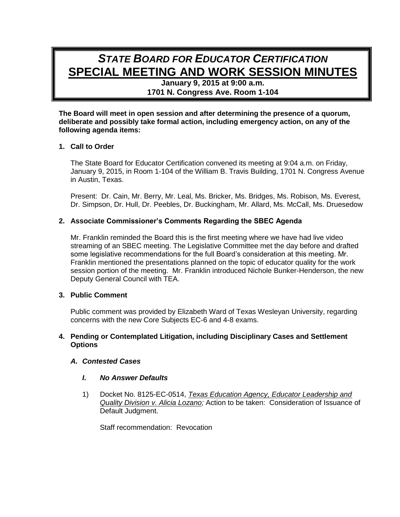# *STATE BOARD FOR EDUCATOR CERTIFICATION* **SPECIAL MEETING AND WORK SESSION MINUTES**

**January 9, 2015 at 9:00 a.m. 1701 N. Congress Ave. Room 1-104**

**The Board will meet in open session and after determining the presence of a quorum, deliberate and possibly take formal action, including emergency action, on any of the following agenda items:**

# **1. Call to Order**

The State Board for Educator Certification convened its meeting at 9:04 a.m. on Friday, January 9, 2015, in Room 1-104 of the William B. Travis Building, 1701 N. Congress Avenue in Austin, Texas.

Present: Dr. Cain, Mr. Berry, Mr. Leal, Ms. Bricker, Ms. Bridges, Ms. Robison, Ms. Everest, Dr. Simpson, Dr. Hull, Dr. Peebles, Dr. Buckingham, Mr. Allard, Ms. McCall, Ms. Druesedow

# **2. Associate Commissioner's Comments Regarding the SBEC Agenda**

Mr. Franklin reminded the Board this is the first meeting where we have had live video streaming of an SBEC meeting. The Legislative Committee met the day before and drafted some legislative recommendations for the full Board's consideration at this meeting. Mr. Franklin mentioned the presentations planned on the topic of educator quality for the work session portion of the meeting. Mr. Franklin introduced Nichole Bunker-Henderson, the new Deputy General Council with TEA.

#### **3. Public Comment**

Public comment was provided by Elizabeth Ward of Texas Wesleyan University, regarding concerns with the new Core Subjects EC-6 and 4-8 exams.

## **4. Pending or Contemplated Litigation, including Disciplinary Cases and Settlement Options**

#### *A. Contested Cases*

#### *I. No Answer Defaults*

1) Docket No. 8125-EC-0514, *Texas Education Agency, Educator Leadership and Quality Division v. Alicia Lozano;* Action to be taken: Consideration of Issuance of Default Judgment.

Staff recommendation: Revocation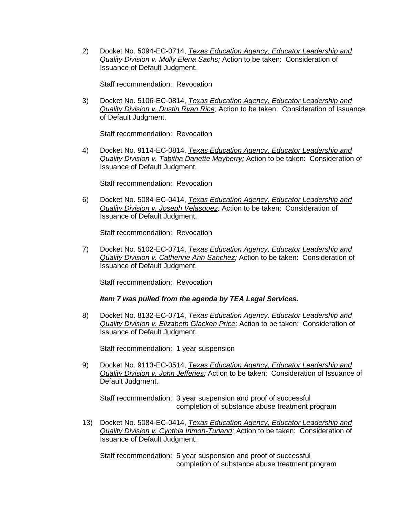2) Docket No. 5094-EC-0714, *Texas Education Agency, Educator Leadership and Quality Division v. Molly Elena Sachs;* Action to be taken: Consideration of Issuance of Default Judgment.

Staff recommendation: Revocation

3) Docket No. 5106-EC-0814, *Texas Education Agency, Educator Leadership and Quality Division v. Dustin Ryan Rice;* Action to be taken: Consideration of Issuance of Default Judgment.

Staff recommendation: Revocation

4) Docket No. 9114-EC-0814, *Texas Education Agency, Educator Leadership and Quality Division v. Tabitha Danette Mayberry;* Action to be taken: Consideration of Issuance of Default Judgment.

Staff recommendation: Revocation

6) Docket No. 5084-EC-0414, *Texas Education Agency, Educator Leadership and Quality Division v. Joseph Velasquez;* Action to be taken: Consideration of Issuance of Default Judgment.

Staff recommendation: Revocation

7) Docket No. 5102-EC-0714, *Texas Education Agency, Educator Leadership and Quality Division v. Catherine Ann Sanchez;* Action to be taken: Consideration of Issuance of Default Judgment.

Staff recommendation: Revocation

*Item 7 was pulled from the agenda by TEA Legal Services.*

8) Docket No. 8132-EC-0714, *Texas Education Agency, Educator Leadership and Quality Division v. Elizabeth Glacken Price;* Action to be taken: Consideration of Issuance of Default Judgment.

Staff recommendation: 1 year suspension

9) Docket No. 9113-EC-0514, *Texas Education Agency, Educator Leadership and Quality Division v. John Jefferies;* Action to be taken: Consideration of Issuance of Default Judgment.

Staff recommendation: 3 year suspension and proof of successful completion of substance abuse treatment program

13) Docket No. 5084-EC-0414, *Texas Education Agency, Educator Leadership and Quality Division v. Cynthia Inmon-Turland;* Action to be taken: Consideration of Issuance of Default Judgment.

Staff recommendation: 5 year suspension and proof of successful completion of substance abuse treatment program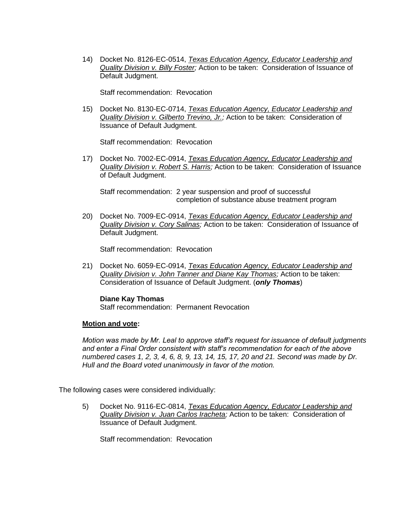14) Docket No. 8126-EC-0514, *Texas Education Agency, Educator Leadership and Quality Division v. Billy Foster;* Action to be taken: Consideration of Issuance of Default Judgment.

Staff recommendation: Revocation

15) Docket No. 8130-EC-0714, *Texas Education Agency, Educator Leadership and Quality Division v. Gilberto Trevino, Jr.;* Action to be taken: Consideration of Issuance of Default Judgment.

Staff recommendation: Revocation

17) Docket No. 7002-EC-0914, *Texas Education Agency, Educator Leadership and Quality Division v. Robert S. Harris;* Action to be taken: Consideration of Issuance of Default Judgment.

Staff recommendation: 2 year suspension and proof of successful completion of substance abuse treatment program

20) Docket No. 7009-EC-0914, *Texas Education Agency, Educator Leadership and Quality Division v. Cory Salinas;* Action to be taken: Consideration of Issuance of Default Judgment.

Staff recommendation: Revocation

21) Docket No. 6059-EC-0914, *Texas Education Agency, Educator Leadership and Quality Division v. John Tanner and Diane Kay Thomas;* Action to be taken: Consideration of Issuance of Default Judgment. (*only Thomas*)

#### **Diane Kay Thomas**

Staff recommendation: Permanent Revocation

#### **Motion and vote:**

*Motion was made by Mr. Leal to approve staff's request for issuance of default judgments and enter a Final Order consistent with staff's recommendation for each of the above numbered cases 1, 2, 3, 4, 6, 8, 9, 13, 14, 15, 17, 20 and 21. Second was made by Dr. Hull and the Board voted unanimously in favor of the motion.*

The following cases were considered individually:

5) Docket No. 9116-EC-0814, *Texas Education Agency, Educator Leadership and Quality Division v. Juan Carlos Iracheta;* Action to be taken: Consideration of Issuance of Default Judgment.

Staff recommendation: Revocation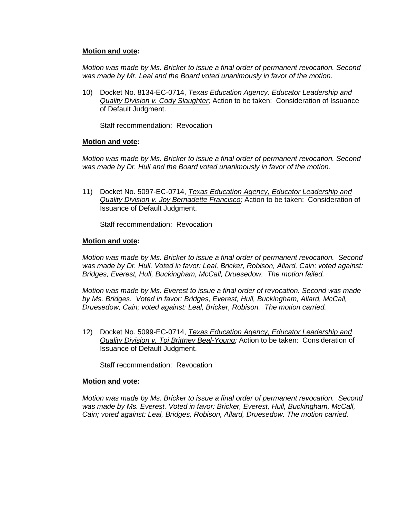## **Motion and vote:**

*Motion was made by Ms. Bricker to issue a final order of permanent revocation. Second was made by Mr. Leal and the Board voted unanimously in favor of the motion.*

10) Docket No. 8134-EC-0714, *Texas Education Agency, Educator Leadership and Quality Division v. Cody Slaughter;* Action to be taken: Consideration of Issuance of Default Judgment.

Staff recommendation: Revocation

## **Motion and vote:**

*Motion was made by Ms. Bricker to issue a final order of permanent revocation. Second was made by Dr. Hull and the Board voted unanimously in favor of the motion.*

11) Docket No. 5097-EC-0714, *Texas Education Agency, Educator Leadership and Quality Division v. Joy Bernadette Francisco;* Action to be taken: Consideration of Issuance of Default Judgment.

Staff recommendation: Revocation

## **Motion and vote:**

*Motion was made by Ms. Bricker to issue a final order of permanent revocation. Second*  was made by Dr. Hull. Voted in favor: Leal, Bricker, Robison, Allard, Cain; voted against: *Bridges, Everest, Hull, Buckingham, McCall, Druesedow. The motion failed.*

*Motion was made by Ms. Everest to issue a final order of revocation. Second was made by Ms. Bridges. Voted in favor: Bridges, Everest, Hull, Buckingham, Allard, McCall, Druesedow, Cain; voted against: Leal, Bricker, Robison. The motion carried.*

12) Docket No. 5099-EC-0714, *Texas Education Agency, Educator Leadership and Quality Division v. Toi Brittney Beal-Young;* Action to be taken: Consideration of Issuance of Default Judgment.

Staff recommendation: Revocation

#### **Motion and vote:**

*Motion was made by Ms. Bricker to issue a final order of permanent revocation. Second was made by Ms. Everest. Voted in favor: Bricker, Everest, Hull, Buckingham, McCall, Cain; voted against: Leal, Bridges, Robison, Allard, Druesedow. The motion carried.*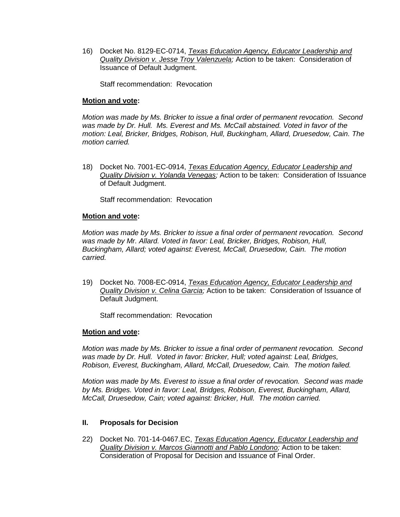16) Docket No. 8129-EC-0714, *Texas Education Agency, Educator Leadership and Quality Division v. Jesse Troy Valenzuela;* Action to be taken: Consideration of Issuance of Default Judgment.

Staff recommendation: Revocation

## **Motion and vote:**

*Motion was made by Ms. Bricker to issue a final order of permanent revocation. Second was made by Dr. Hull. Ms. Everest and Ms. McCall abstained. Voted in favor of the motion: Leal, Bricker, Bridges, Robison, Hull, Buckingham, Allard, Druesedow, Cain. The motion carried.*

18) Docket No. 7001-EC-0914, *Texas Education Agency, Educator Leadership and Quality Division v. Yolanda Venegas;* Action to be taken: Consideration of Issuance of Default Judgment.

Staff recommendation: Revocation

## **Motion and vote:**

*Motion was made by Ms. Bricker to issue a final order of permanent revocation. Second was made by Mr. Allard. Voted in favor: Leal, Bricker, Bridges, Robison, Hull, Buckingham, Allard; voted against: Everest, McCall, Druesedow, Cain. The motion carried.*

19) Docket No. 7008-EC-0914, *Texas Education Agency, Educator Leadership and Quality Division v. Celina Garcia;* Action to be taken: Consideration of Issuance of Default Judgment.

Staff recommendation: Revocation

#### **Motion and vote:**

*Motion was made by Ms. Bricker to issue a final order of permanent revocation. Second was made by Dr. Hull. Voted in favor: Bricker, Hull; voted against: Leal, Bridges, Robison, Everest, Buckingham, Allard, McCall, Druesedow, Cain. The motion failed.*

*Motion was made by Ms. Everest to issue a final order of revocation. Second was made by Ms. Bridges. Voted in favor: Leal, Bridges, Robison, Everest, Buckingham, Allard, McCall, Druesedow, Cain; voted against: Bricker, Hull. The motion carried.*

# **II. Proposals for Decision**

22) Docket No. 701-14-0467.EC, *Texas Education Agency, Educator Leadership and Quality Division v. Marcos Giannotti and Pablo Londono;* Action to be taken: Consideration of Proposal for Decision and Issuance of Final Order.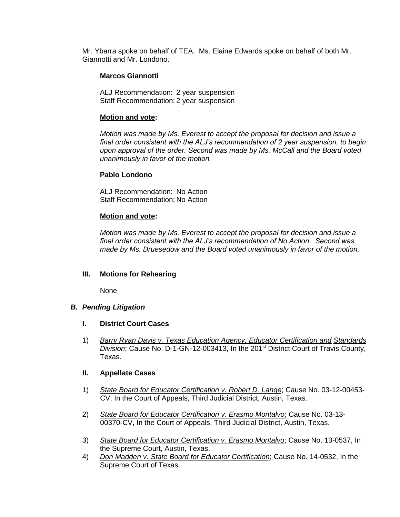Mr. Ybarra spoke on behalf of TEA. Ms. Elaine Edwards spoke on behalf of both Mr. Giannotti and Mr. Londono.

## **Marcos Giannotti**

ALJ Recommendation: 2 year suspension Staff Recommendation: 2 year suspension

#### **Motion and vote:**

*Motion was made by Ms. Everest to accept the proposal for decision and issue a final order consistent with the ALJ's recommendation of 2 year suspension, to begin upon approval of the order. Second was made by Ms. McCall and the Board voted unanimously in favor of the motion.*

#### **Pablo Londono**

ALJ Recommendation: No Action Staff Recommendation: No Action

#### **Motion and vote:**

*Motion was made by Ms. Everest to accept the proposal for decision and issue a final order consistent with the ALJ's recommendation of No Action. Second was made by Ms. Druesedow and the Board voted unanimously in favor of the motion.*

#### **III. Motions for Rehearing**

None

#### *B. Pending Litigation*

- **I. District Court Cases**
- 1) *Barry Ryan Davis v. Texas Education Agency, Educator Certification and Standards Division*; Cause No. D-1-GN-12-003413, In the 201st District Court of Travis County, Texas.

#### **II. Appellate Cases**

- 1) *State Board for Educator Certification v. Robert D. Lange*; Cause No. 03-12-00453- CV, In the Court of Appeals, Third Judicial District, Austin, Texas.
- 2) *State Board for Educator Certification v. Erasmo Montalvo*; Cause No. 03-13- 00370-CV, In the Court of Appeals, Third Judicial District, Austin, Texas.
- 3) *State Board for Educator Certification v. Erasmo Montalvo*; Cause No. 13-0537, In the Supreme Court, Austin, Texas.
- 4) *Don Madden v. State Board for Educator Certification*; Cause No. 14-0532, In the Supreme Court of Texas.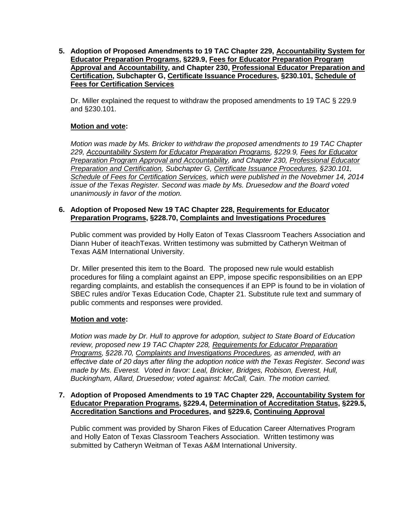**5. Adoption of Proposed Amendments to 19 TAC Chapter 229, Accountability System for Educator Preparation Programs, §229.9, Fees for Educator Preparation Program Approval and Accountability, and Chapter 230, Professional Educator Preparation and Certification, Subchapter G, Certificate Issuance Procedures, §230.101, Schedule of Fees for Certification Services**

Dr. Miller explained the request to withdraw the proposed amendments to 19 TAC § 229.9 and §230.101.

# **Motion and vote:**

*Motion was made by Ms. Bricker to withdraw the proposed amendments to 19 TAC Chapter 229, Accountability System for Educator Preparation Programs, §229.9, Fees for Educator Preparation Program Approval and Accountability, and Chapter 230, Professional Educator Preparation and Certification, Subchapter G, Certificate Issuance Procedures, §230.101, Schedule of Fees for Certification Services, which were published in the Novebmer 14, 2014 issue of the Texas Register. Second was made by Ms. Druesedow and the Board voted unanimously in favor of the motion.*

## **6. Adoption of Proposed New 19 TAC Chapter 228, Requirements for Educator Preparation Programs, §228.70, Complaints and Investigations Procedures**

Public comment was provided by Holly Eaton of Texas Classroom Teachers Association and Diann Huber of iteachTexas. Written testimony was submitted by Catheryn Weitman of Texas A&M International University.

Dr. Miller presented this item to the Board. The proposed new rule would establish procedures for filing a complaint against an EPP, impose specific responsibilities on an EPP regarding complaints, and establish the consequences if an EPP is found to be in violation of SBEC rules and/or Texas Education Code, Chapter 21. Substitute rule text and summary of public comments and responses were provided.

# **Motion and vote:**

*Motion was made by Dr. Hull to approve for adoption, subject to State Board of Education review, proposed new 19 TAC Chapter 228, Requirements for Educator Preparation Programs, §228.70, Complaints and Investigations Procedures, as amended, with an effective date of 20 days after filing the adoption notice with the Texas Register. Second was made by Ms. Everest. Voted in favor: Leal, Bricker, Bridges, Robison, Everest, Hull, Buckingham, Allard, Druesedow; voted against: McCall, Cain. The motion carried.*

## **7. Adoption of Proposed Amendments to 19 TAC Chapter 229, Accountability System for Educator Preparation Programs, §229.4, Determination of Accreditation Status, §229.5, Accreditation Sanctions and Procedures, and §229.6, Continuing Approval**

Public comment was provided by Sharon Fikes of Education Career Alternatives Program and Holly Eaton of Texas Classroom Teachers Association. Written testimony was submitted by Catheryn Weitman of Texas A&M International University.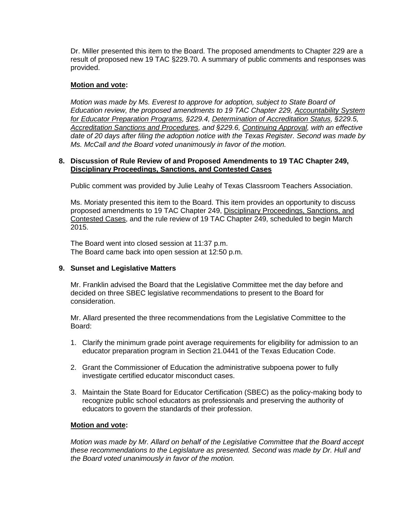Dr. Miller presented this item to the Board. The proposed amendments to Chapter 229 are a result of proposed new 19 TAC §229.70. A summary of public comments and responses was provided.

## **Motion and vote:**

*Motion was made by Ms. Everest to approve for adoption, subject to State Board of Education review, the proposed amendments to 19 TAC Chapter 229, Accountability System for Educator Preparation Programs, §229.4, Determination of Accreditation Status, §229.5, Accreditation Sanctions and Procedures, and §229.6, Continuing Approval, with an effective date of 20 days after filing the adoption notice with the Texas Register. Second was made by Ms. McCall and the Board voted unanimously in favor of the motion.*

## **8. Discussion of Rule Review of and Proposed Amendments to 19 TAC Chapter 249, Disciplinary Proceedings, Sanctions, and Contested Cases**

Public comment was provided by Julie Leahy of Texas Classroom Teachers Association.

Ms. Moriaty presented this item to the Board. This item provides an opportunity to discuss proposed amendments to 19 TAC Chapter 249, Disciplinary Proceedings, Sanctions, and Contested Cases, and the rule review of 19 TAC Chapter 249, scheduled to begin March 2015.

The Board went into closed session at 11:37 p.m. The Board came back into open session at 12:50 p.m.

# **9. Sunset and Legislative Matters**

Mr. Franklin advised the Board that the Legislative Committee met the day before and decided on three SBEC legislative recommendations to present to the Board for consideration.

Mr. Allard presented the three recommendations from the Legislative Committee to the Board:

- 1. Clarify the minimum grade point average requirements for eligibility for admission to an educator preparation program in Section 21.0441 of the Texas Education Code.
- 2. Grant the Commissioner of Education the administrative subpoena power to fully investigate certified educator misconduct cases.
- 3. Maintain the State Board for Educator Certification (SBEC) as the policy-making body to recognize public school educators as professionals and preserving the authority of educators to govern the standards of their profession.

# **Motion and vote:**

*Motion was made by Mr. Allard on behalf of the Legislative Committee that the Board accept these recommendations to the Legislature as presented. Second was made by Dr. Hull and the Board voted unanimously in favor of the motion.*